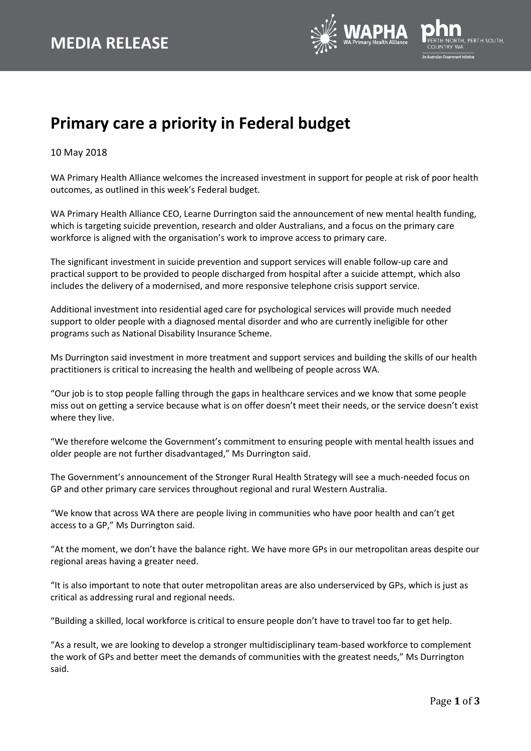

## **Primary care a priority in Federal budget**

10 May 2018

WA Primary Health Alliance welcomes the increased investment in support for people at risk of poor health outcomes, as outlined in this week's Federal budget.

WA Primary Health Alliance CEO, Learne Durrington said the announcement of new mental health funding, which is targeting suicide prevention, research and older Australians, and a focus on the primary care workforce is aligned with the organisation's work to improve access to primary care.

The significant investment in suicide prevention and support services will enable follow-up care and practical support to be provided to people discharged from hospital after a suicide attempt, which also includes the delivery of a modernised, and more responsive telephone crisis support service.

Additional investment into residential aged care for psychological services will provide much needed support to older people with a diagnosed mental disorder and who are currently ineligible for other programs such as National Disability Insurance Scheme.

Ms Durrington said investment in more treatment and support services and building the skills of our health practitioners is critical to increasing the health and wellbeing of people across WA.

"Our job is to stop people falling through the gaps in healthcare services and we know that some people miss out on getting a service because what is on offer doesn't meet their needs, or the service doesn't exist where they live.

"We therefore welcome the Government's commitment to ensuring people with mental health issues and older people are not further disadvantaged," Ms Durrington said.

The Government's announcement of the Stronger Rural Health Strategy will see a much-needed focus on GP and other primary care services throughout regional and rural Western Australia.

"We know that across WA there are people living in communities who have poor health and can't get access to a GP," Ms Durrington said.

"At the moment, we don't have the balance right. We have more GPs in our metropolitan areas despite our regional areas having a greater need.

"It is also important to note that outer metropolitan areas are also underserviced by GPs, which is just as critical as addressing rural and regional needs.

"Building a skilled, local workforce is critical to ensure people don't have to travel too far to get help.

"As a result, we are looking to develop a stronger multidisciplinary team-based workforce to complement the work of GPs and better meet the demands of communities with the greatest needs," Ms Durrington said.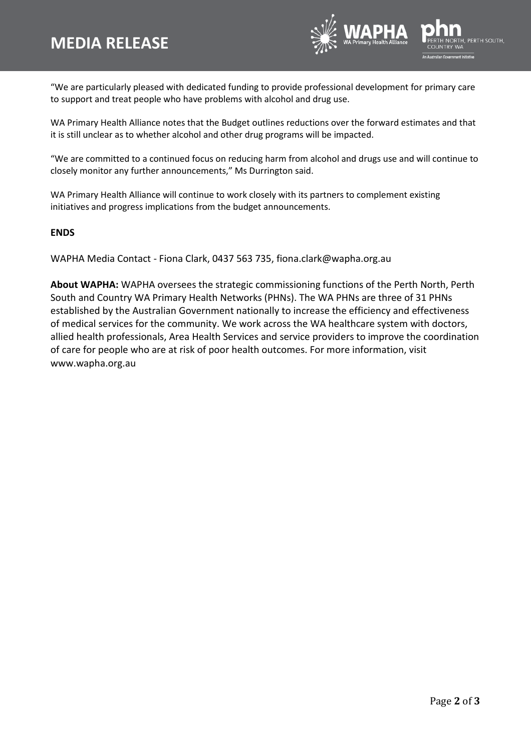

"We are particularly pleased with dedicated funding to provide professional development for primary care to support and treat people who have problems with alcohol and drug use.

WA Primary Health Alliance notes that the Budget outlines reductions over the forward estimates and that it is still unclear as to whether alcohol and other drug programs will be impacted.

"We are committed to a continued focus on reducing harm from alcohol and drugs use and will continue to closely monitor any further announcements," Ms Durrington said.

WA Primary Health Alliance will continue to work closely with its partners to complement existing initiatives and progress implications from the budget announcements.

## **ENDS**

WAPHA Media Contact - Fiona Clark, 0437 563 735, fiona.clark@wapha.org.au

**About WAPHA:** WAPHA oversees the strategic commissioning functions of the Perth North, Perth South and Country WA Primary Health Networks (PHNs). The WA PHNs are three of 31 PHNs established by the Australian Government nationally to increase the efficiency and effectiveness of medical services for the community. We work across the WA healthcare system with doctors, allied health professionals, Area Health Services and service providers to improve the coordination of care for people who are at risk of poor health outcomes. For more information, visit www.wapha.org.au